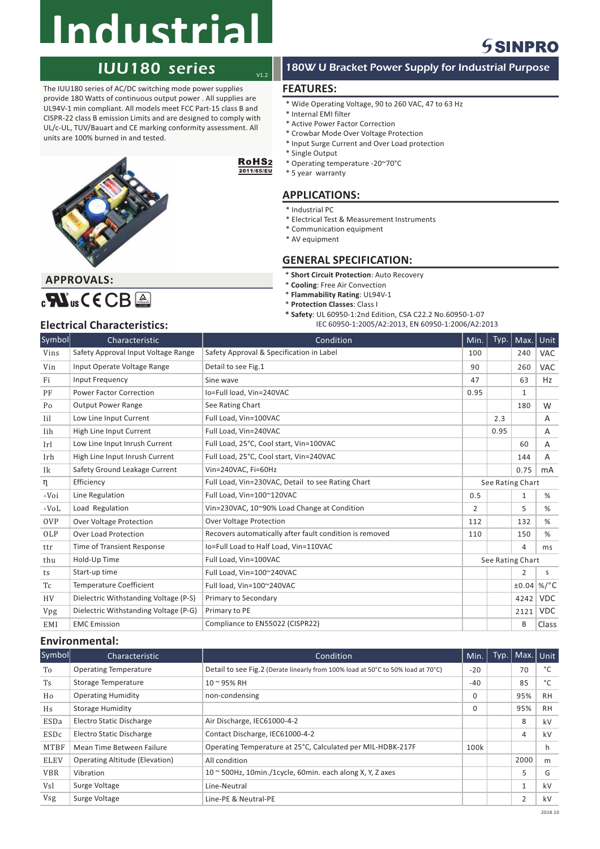# **Industrial**

## IUU180 series

The IUU180 series of AC/DC switching mode power supplies provide 180 Watts of continuous output power . All supplies are UL94V-1 min compliant. All models meet FCC Part-15 class B and CISPR-22 class B emission Limits and are designed to comply with UL/c-UL, TUV/Bauart and CE marking conformity assessment. All units are 100% burned in and tested.



#### RoHS<sub>2</sub> 2011/65/EU

 $V1.2$ 

## **APPLICATIONS:** \* 5 year warranty

\* Industrial PC

\* Single Output

**FEATURES:**

\* Internal EMI filter

\* Active Power Factor Correction \* Crowbar Mode Over Voltage Protection \* Input Surge Current and Over Load protection

\* Operating temperature -20~70°C

\* Electrical Test & Measurement Instruments

\* Wide Operating Voltage, 90 to 260 VAC, 47 to 63 Hz

180W U Bracket Power Supply for Industrial Purpose

- \* Communication equipment
- \* AV equipment

## **GENERAL SPECIFICATION:**

- $*$  **Short Circuit Protection**: Auto Recovery
- $*$  **Cooling**: Free Air Convection
- $*$  **Flammability Rating: UL94V-1**
- $*$  **Protection Classes**: Class I
- **\* Safety**: UL 60950-1:2nd Edition, CSA C22.2 No.60950-1-07
- **Electrical Characteristics:** IEC 60950-1:2005/A2:2013, EN 60950-1:2006/A2:2013

 $_{c}$ Nus CECB<sup>A</sup>

**APPROVALS:**

| Symbol           | Characteristic                        | Condition                                               | Min.             | Typ. | Max.         | Unit            |
|------------------|---------------------------------------|---------------------------------------------------------|------------------|------|--------------|-----------------|
| Vins             | Safety Approval Input Voltage Range   | Safety Approval & Specification in Label                | 100              |      | 240          | <b>VAC</b>      |
| Vin              | Input Operate Voltage Range           | Detail to see Fig.1                                     | 90               |      | 260          | <b>VAC</b>      |
| Fi               | Input Frequency                       | Sine wave                                               | 47               |      | 63           | Hz              |
| PF               | <b>Power Factor Correction</b>        | Io=Full load, Vin=240VAC                                | 0.95             |      | $\mathbf{1}$ |                 |
| Po               | <b>Output Power Range</b>             | See Rating Chart                                        |                  |      | 180          | W               |
| Iil              | Low Line Input Current                | Full Load, Vin=100VAC                                   |                  | 2.3  |              | Α               |
| Iih              | High Line Input Current               | Full Load, Vin=240VAC                                   |                  | 0.95 |              | A               |
| Irl              | Low Line Input Inrush Current         | Full Load, 25°C, Cool start, Vin=100VAC                 |                  |      | 60           | A               |
| Irh              | High Line Input Inrush Current        | Full Load, 25°C, Cool start, Vin=240VAC                 |                  |      | 144          | A               |
| Ik               | Safety Ground Leakage Current         | Vin=240VAC, Fi=60Hz                                     |                  |      | 0.75         | mA              |
| η                | Efficiency                            | Full Load, Vin=230VAC, Detail to see Rating Chart       | See Rating Chart |      |              |                 |
| $\triangle V$ oi | Line Regulation                       | Full Load, Vin=100~120VAC                               | 0.5              |      | $\mathbf{1}$ | %               |
| $\triangle$ VoL  | Load Regulation                       | Vin=230VAC, 10~90% Load Change at Condition             | $\overline{2}$   |      | 5            | %               |
| <b>OVP</b>       | <b>Over Voltage Protection</b>        | <b>Over Voltage Protection</b>                          | 112              |      | 132          | %               |
| OLP              | <b>Over Load Protection</b>           | Recovers automatically after fault condition is removed | 110              |      | 150          | %               |
| ttr              | <b>Time of Transient Response</b>     | Io=Full Load to Half Load, Vin=110VAC                   |                  |      | 4            | ms              |
| thu              | Hold-Up Time                          | Full Load, Vin=100VAC                                   | See Rating Chart |      |              |                 |
| ts               | Start-up time                         | Full Load, Vin=100~240VAC                               |                  |      | 2            | s               |
| Tc               | <b>Temperature Coefficient</b>        | Full load, Vin=100~240VAC                               |                  |      | ±0.04        | %/ $^{\circ}$ C |
| <b>HV</b>        | Dielectric Withstanding Voltage (P-S) | Primary to Secondary                                    |                  |      | 4242         | <b>VDC</b>      |
| Vpg              | Dielectric Withstanding Voltage (P-G) | Primary to PE                                           |                  |      | 2121         | <b>VDC</b>      |
| EMI              | <b>EMC</b> Emission                   | Compliance to EN55022 (CISPR22)                         |                  |      | B            | Class           |

### **Environmental:**

| Symbol      | Characteristic                        | Condition                                                                        | Min.     | Typ. | Max.   Unit  |           |
|-------------|---------------------------------------|----------------------------------------------------------------------------------|----------|------|--------------|-----------|
| To          | <b>Operating Temperature</b>          | Detail to see Fig.2 (Derate linearly from 100% load at 50°C to 50% load at 70°C) | $-20$    |      | 70           | °C        |
| <b>Ts</b>   | <b>Storage Temperature</b>            | $10 - 95%$ RH                                                                    | $-40$    |      | 85           | °C        |
| Ho          | <b>Operating Humidity</b>             | non-condensing                                                                   | $\Omega$ |      | 95%          | <b>RH</b> |
| Hs          | <b>Storage Humidity</b>               |                                                                                  | $\Omega$ |      | 95%          | <b>RH</b> |
| ESDa        | <b>Electro Static Discharge</b>       | Air Discharge, IEC61000-4-2                                                      |          |      | 8            | kV        |
| ESDc        | <b>Electro Static Discharge</b>       | Contact Discharge, IEC61000-4-2                                                  |          |      | 4            | kV        |
| MTBF        | Mean Time Between Failure             | Operating Temperature at 25°C, Calculated per MIL-HDBK-217F                      | 100k     |      |              | h.        |
| <b>ELEV</b> | <b>Operating Altitude (Elevation)</b> | All condition                                                                    |          |      | 2000         | m         |
| <b>VBR</b>  | Vibration                             | $10 \approx 500$ Hz, 10min./1cycle, 60min. each along X, Y, Z axes               |          |      | 5            | G         |
| Vsl         | Surge Voltage                         | Line-Neutral                                                                     |          |      | $\mathbf{1}$ | kV        |
| Vsg         | Surge Voltage                         | Line-PE & Neutral-PE                                                             |          |      | 2            | kV        |

## **SSINPRO**